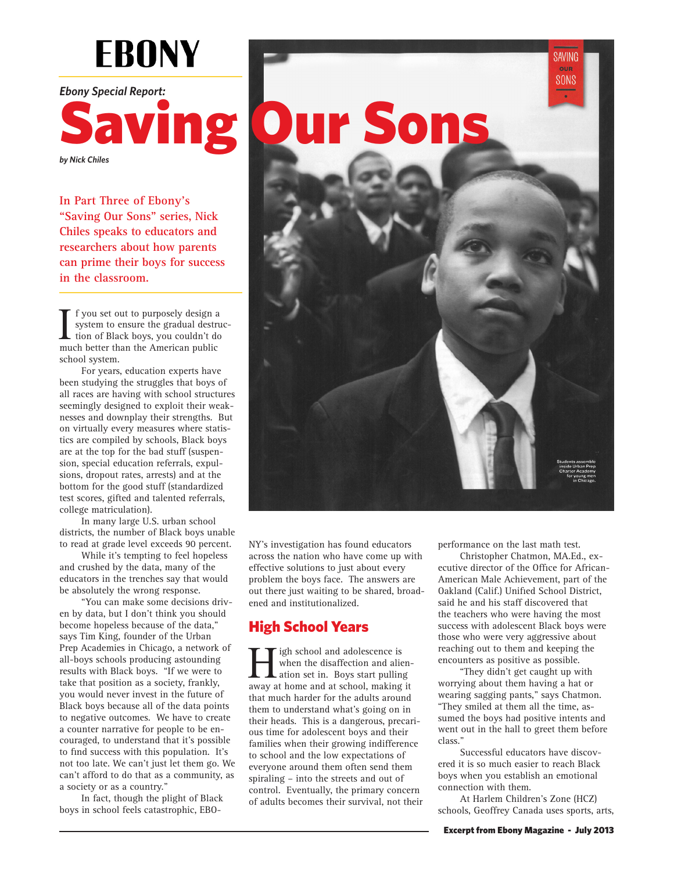## **EBONY**

*Ebony Special Report:* 



*by Nick Chiles*

**In Part Three of Ebony's "Saving Our Sons" series, Nick Chiles speaks to educators and researchers about how parents can prime their boys for success in the classroom.**

I f you set out to purposely design a<br>system to ensure the gradual destru<br>tion of Black boys, you couldn't do<br>much better than the American public f you set out to purposely design a system to ensure the gradual destruction of Black boys, you couldn't do school system.

For years, education experts have been studying the struggles that boys of all races are having with school structures seemingly designed to exploit their weaknesses and downplay their strengths. But on virtually every measures where statistics are compiled by schools, Black boys are at the top for the bad stuff (suspension, special education referrals, expulsions, dropout rates, arrests) and at the bottom for the good stuff (standardized test scores, gifted and talented referrals, college matriculation).

In many large U.S. urban school districts, the number of Black boys unable to read at grade level exceeds 90 percent.

While it's tempting to feel hopeless and crushed by the data, many of the educators in the trenches say that would be absolutely the wrong response.

"You can make some decisions driven by data, but I don't think you should become hopeless because of the data," says Tim King, founder of the Urban Prep Academies in Chicago, a network of all-boys schools producing astounding results with Black boys. "If we were to take that position as a society, frankly, you would never invest in the future of Black boys because all of the data points to negative outcomes. We have to create a counter narrative for people to be encouraged, to understand that it's possible to find success with this population. It's not too late. We can't just let them go. We can't afford to do that as a community, as a society or as a country."

In fact, though the plight of Black boys in school feels catastrophic, EBO-



NY's investigation has found educators across the nation who have come up with effective solutions to just about every problem the boys face. The answers are out there just waiting to be shared, broadened and institutionalized.

## High School Years

**Heigh school and adolescence is**<br>when the disaffection and alie<br>ation set in. Boys start pulling<br>away at home and at school, making when the disaffection and alienation set in. Boys start pulling away at home and at school, making it that much harder for the adults around them to understand what's going on in their heads. This is a dangerous, precarious time for adolescent boys and their families when their growing indifference to school and the low expectations of everyone around them often send them spiraling – into the streets and out of control. Eventually, the primary concern of adults becomes their survival, not their performance on the last math test.

Christopher Chatmon, MA.Ed., executive director of the Office for African-American Male Achievement, part of the Oakland (Calif.) Unified School District, said he and his staff discovered that the teachers who were having the most success with adolescent Black boys were those who were very aggressive about reaching out to them and keeping the encounters as positive as possible.

"They didn't get caught up with worrying about them having a hat or wearing sagging pants," says Chatmon. "They smiled at them all the time, assumed the boys had positive intents and went out in the hall to greet them before class."

Successful educators have discovered it is so much easier to reach Black boys when you establish an emotional connection with them.

At Harlem Children's Zone (HCZ) schools, Geoffrey Canada uses sports, arts,